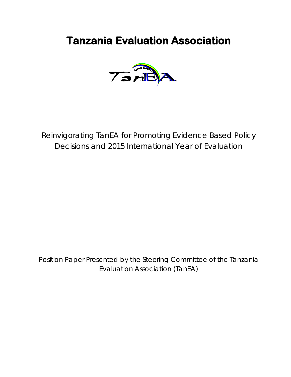# **Tanzania Evaluation Association**



Reinvigorating TanEA for Promoting Evidence Based Policy Decisions and 2015 International Year of Evaluation

Position Paper Presented by the Steering Committee of the Tanzania Evaluation Association (TanEA)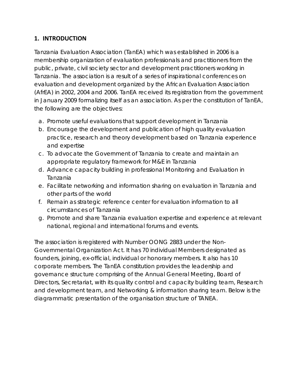# **1. INTRODUCTION**

Tanzania Evaluation Association (TanEA) which was established in 2006 is a membership organization of evaluation professionals and practitioners from the public, private, civil society sector and development practitioners working in Tanzania. The association is a result of a series of inspirational conferences on evaluation and development organized by the African Evaluation Association (AfrEA) in 2002, 2004 and 2006. TanEA received its registration from the government in January 2009 formalizing itself as an association. As per the constitution of TanEA, the following are the objectives:

- a. Promote useful evaluations that support development in Tanzania
- b. Encourage the development and publication of high quality evaluation practice, research and theory development based on Tanzania experience and expertise
- c. To advocate the Government of Tanzania to create and maintain an appropriate regulatory framework for M&E in Tanzania
- d. Advance capacity building in professional Monitoring and Evaluation in Tanzania
- e. Facilitate networking and information sharing on evaluation in Tanzania and other parts of the world
- f. Remain as strategic reference center for evaluation information to all circumstances of Tanzania
- g. Promote and share Tanzania evaluation expertise and experience at relevant national, regional and international forums and events.

The association is registered with Number OONG 2883 under the Non-Governmental Organization Act. It has 70 individual Members designated as founders, joining, ex-official, individual or honorary members. It also has 10 corporate members. The TanEA constitution provides the leadership and governance structure comprising of the Annual General Meeting, Board of Directors, Secretariat, with its quality control and capacity building team, Research and development team, and Networking & information sharing team. Below is the diagrammatic presentation of the organisation structure of TANEA.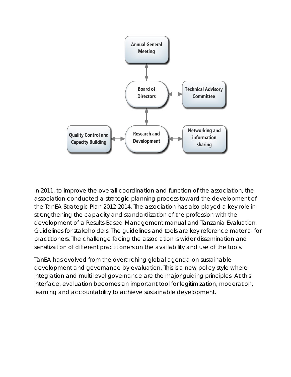

In 2011, to improve the overall coordination and function of the association, the association conducted a strategic planning process toward the development of the TanEA Strategic Plan 2012-2014. The association has also played a key role in strengthening the capacity and standardization of the profession with the development of a Results-Based Management manual and Tanzania Evaluation Guidelines for stakeholders. The guidelines and tools are key reference material for practitioners. The challenge facing the association is wider dissemination and sensitization of different practitioners on the availability and use of the tools.

TanEA has evolved from the overarching global agenda on sustainable development and governance by evaluation. This is a new policy style where integration and multi level governance are the major guiding principles. At this interface, evaluation becomes an important tool for legitimization, moderation, learning and accountability to achieve sustainable development.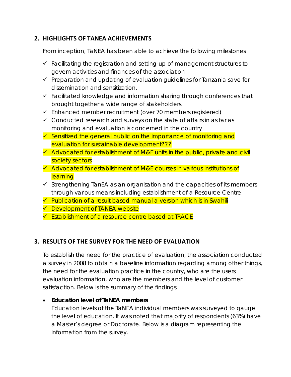# **2. HIGHLIGHTS OF TANEA ACHIEVEMENTS**

From inception, TaNEA has been able to achieve the following milestones

- $\checkmark$  Facilitating the registration and setting-up of management structures to govern activities and finances of the association
- $\checkmark$  Preparation and updating of evaluation guidelines for Tanzania save for dissemination and sensitization.
- $\checkmark$  Facilitated knowledge and information sharing through conferences that brought together a wide range of stakeholders.
- $\checkmark$  Enhanced member recruitment (over 70 members registered)
- $\checkmark$  Conducted research and surveys on the state of affairs in as far as monitoring and evaluation is concerned in the country
- $\checkmark$  Sensitized the general public on the importance of monitoring and evaluation for sustainable development???
- $\checkmark$  Advocated for establishment of M&E units in the public, private and civil society sectors
- $\checkmark$  Advocated for establishment of M&E courses in various institutions of **learning**
- $\checkmark$  Strengthening TanEA as an organisation and the capacities of its members through various means including establishment of a Resource Centre
- $\checkmark$  Publication of a result based manual a version which is in Swahili
- **✓** Development of TANEA website
- $\checkmark$  Establishment of a resource centre based at TRACE

# **3. RESULTS OF THE SURVEY FOR THE NEED OF EVALUATION**

To establish the need for the practice of evaluation, the association conducted a survey in 2008 to obtain a baseline information regarding among other things, the need for the evaluation practice in the country, who are the users evaluation information, who are the members and the level of customer satisfaction. Below is the summary of the findings.

#### • **Education level of TaNEA members**

Education levels of the TaNEA individual members was surveyed to gauge the level of education. It was noted that majority of respondents (63%) have a Master's degree or Doctorate. Below is a diagram representing the information from the survey.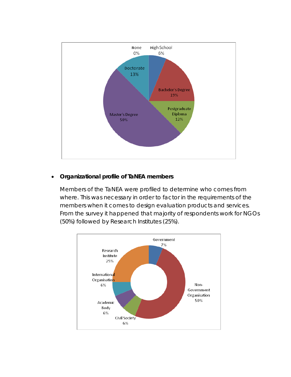

## • **Organizational profile of TaNEA members**

Members of the TaNEA were profiled to determine who comes from where. This was necessary in order to factor in the requirements of the members when it comes to design evaluation products and services. From the survey it happened that majority of respondents work for NGOs (50%) followed by Research Institutes (25%).

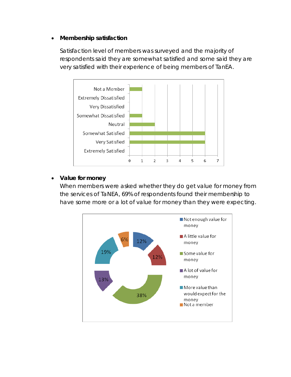#### • **Membership satisfaction**

Satisfaction level of members was surveyed and the majority of respondents said they are somewhat satisfied and some said they are very satisfied with their experience of being members of TanEA.



## • **Value for money**

When members were asked whether they do get value for money from the services of TaNEA, 69% of respondents found their membership to have some more or a lot of value for money than they were expecting.

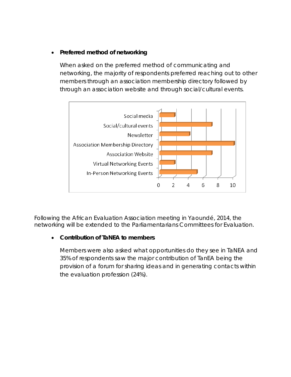## • **Preferred method of networking**

When asked on the preferred method of communicating and networking, the majority of respondents preferred reaching out to other members through an association membership directory followed by through an association website and through social/cultural events.



Following the African Evaluation Association meeting in Yaoundé, 2014, the networking will be extended to the Parliamentarians Committees for Evaluation.

## • **Contribution of TaNEA to members**

Members were also asked what opportunities do they see in TaNEA and 35% of respondents saw the major contribution of TanEA being the provision of a forum for sharing ideas and in generating contacts within the evaluation profession (24%).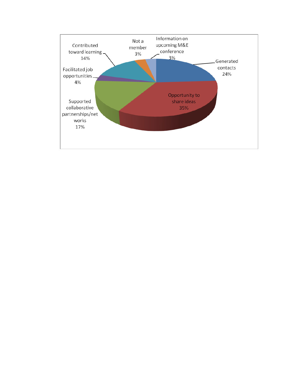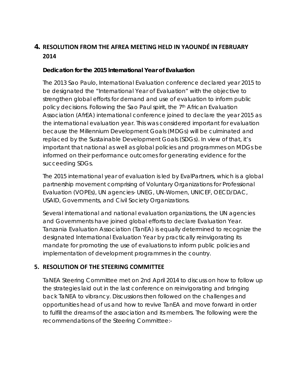# **4. RESOLUTION FROM THE AFREA MEETING HELD IN YAOUNDÉ IN FEBRUARY 2014**

## **Dedication for the 2015 International Year of Evaluation**

The 2013 Sao Paulo, International Evaluation conference declared year 2015 to be designated the "International Year of Evaluation" with the objective to strengthen global efforts for demand and use of evaluation to inform public policy decisions. Following the Sao Paul spirit, the 7th African Evaluation Association (AfrEA) international conference joined to declare the year 2015 as the international evaluation year. This was considered important for evaluation because the Millennium Development Goals (MDGs) will be culminated and replaced by the Sustainable Development Goals (SDGs). In view of that, it's important that national as well as global policies and programmes on MDGs be informed on their performance outcomes for generating evidence for the succeeding SDGs.

The 2015 international year of evaluation is led by EvalPartners, which is a global partnership movement comprising of Voluntary Organizations for Professional Evaluation (VOPEs), UN agencies- UNEG, UN-Women, UNICEF, OECD/DAC, USAID, Governments, and Civil Society Organizations.

Several international and national evaluation organizations, the UN agencies and Governments have joined global efforts to declare Evaluation Year. Tanzania Evaluation Association (TanEA) is equally determined to recognize the designated International Evaluation Year by practically reinvigorating its mandate for promoting the use of evaluations to inform public policies and implementation of development programmes in the country.

# **5. RESOLUTION OF THE STEERING COMMITTEE**

TaNEA Steering Committee met on 2nd April 2014 to discuss on how to follow up the strategies laid out in the last conference on reinvigorating and bringing back TaNEA to vibrancy. Discussions then followed on the challenges and opportunities head of us and how to revive TanEA and move forward in order to fulfill the dreams of the association and its members. The following were the recommendations of the Steering Committee:-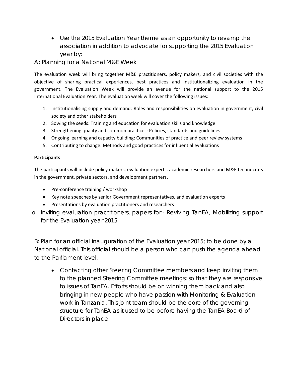• Use the 2015 Evaluation Year theme as an opportunity to revamp the association in addition to advocate for supporting the 2015 Evaluation year by:

#### A: Planning for a National M&E Week

The evaluation week will bring together M&E practitioners, policy makers, and civil societies with the objective of sharing practical experiences, best practices and institutionalizing evaluation in the government. The Evaluation Week will provide an avenue for the national support to the 2015 International Evaluation Year. The evaluation week will cover the following issues:

- 1. Institutionalising supply and demand: Roles and responsibilities on evaluation in government, civil society and other stakeholders
- 2. Sowing the seeds: Training and education for evaluation skills and knowledge
- 3. Strengthening quality and common practices: Policies, standards and guidelines
- 4. Ongoing learning and capacity building: Communities of practice and peer review systems
- 5. Contributing to change: Methods and good practices for influential evaluations

#### **Participants**

The participants will include policy makers, evaluation experts, academic researchers and M&E technocrats in the government, private sectors, and development partners.

- Pre-conference training / workshop
- Key note speeches by senior Government representatives, and evaluation experts
- Presentations by evaluation practitioners and researchers
- o Inviting evaluation practitioners, papers for:- Reviving TanEA, Mobilizing support for the Evaluation year 2015

B: Plan for an official inauguration of the Evaluation year 2015; to be done by a National official. This official should be a person who can push the agenda ahead to the Parliament level.

• Contacting other Steering Committee members and keep inviting them to the planned Steering Committee meetings; so that they are responsive to issues of TanEA. Efforts should be on winning them back and also bringing in new people who have passion with Monitoring & Evaluation work in Tanzania. This joint team should be the core of the governing structure for TanEA as it used to be before having the TanEA Board of Directors in place.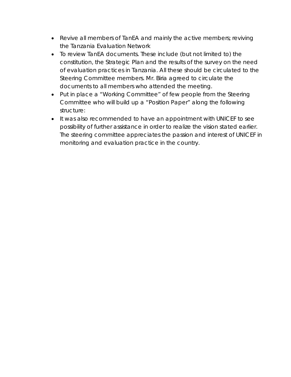- Revive all members of TanEA and mainly the active members; reviving the Tanzania Evaluation Network
- To review TanEA documents. These include (but not limited to) the constitution, the Strategic Plan and the results of the survey on the need of evaluation practices in Tanzania. All these should be circulated to the Steering Committee members. Mr. Biria agreed to circulate the documents to all members who attended the meeting.
- Put in place a "Working Committee" of few people from the Steering Committee who will build up a "Position Paper" along the following structure:
- It was also recommended to have an appointment with UNICEF to see possibility of further assistance in order to realize the vision stated earlier. The steering committee appreciates the passion and interest of UNICEF in monitoring and evaluation practice in the country.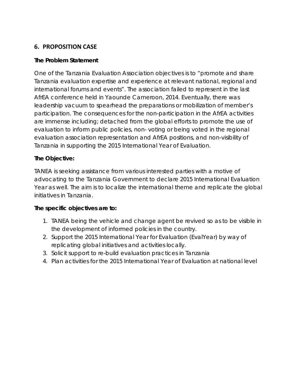# **6. PROPOSITION CASE**

## **The Problem Statement**

One of the Tanzania Evaluation Association objectives is to "promote and share Tanzania evaluation expertise and experience at relevant national, regional and international forums and events". The association failed to represent in the last AfrEA conference held in Yaounde Cameroon, 2014. Eventually, there was leadership vacuum to spearhead the preparations or mobilization of member's participation. The consequences for the non-participation in the AfrEA activities are immense including; detached from the global efforts to promote the use of evaluation to inform public policies, non- voting or being voted in the regional evaluation association representation and AfrEA positions, and non-visibility of Tanzania in supporting the 2015 International Year of Evaluation.

## **The Objective:**

TANEA is seeking assistance from various interested parties with a motive of advocating to the Tanzania Government to declare 2015 International Evaluation Year as well. The aim is to localize the international theme and replicate the global initiatives in Tanzania.

## **The specific objectives are to:**

- 1. TANEA being the vehicle and change agent be revived so as to be visible in the development of informed policies in the country.
- 2. Support the 2015 [International Year for Evaluation \(EvalYear\)](http://www.mymande.org/evalyear) by way of replicating global initiatives and activities locally.
- 3. Solicit support to re-build evaluation practices in Tanzania
- 4. Plan activities for the 2015 International Year of Evaluation at national level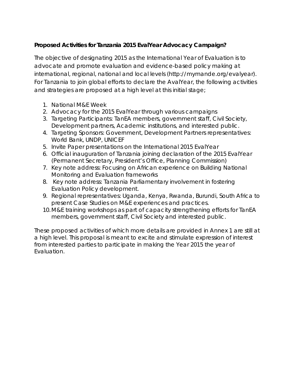# **Proposed Activities for Tanzania 2015 EvalYear Advocacy Campaign?**

The objective of designating 2015 as the International Year of Evaluation is to advocate and promote evaluation and evidence-based policy making at international, regional, national and local levels [\(http://mymande.org/evalyear\)](http://mymande.org/evalyear). For Tanzania to join global efforts to declare the AvalYear, the following activities and strategies are proposed at a high level at this initial stage;

- 1. National M&E Week
- 2. Advocacy for the 2015 EvalYear through various campaigns
- 3. Targeting Participants: TanEA members, government staff, Civil Society, Development partners, Academic institutions, and interested public.
- 4. Targeting Sponsors: Government, Development Partners representatives: World Bank, UNDP, UNICEF
- 5. Invite Paper presentations on the International 2015 EvalYear
- 6. Official inauguration of Tanzania joining declaration of the 2015 EvalYear (Permanent Secretary, President's Office, Planning Commission)
- 7. Key note address: Focusing on African experience on Building National Monitoring and Evaluation frameworks
- 8. Key note address: Tanzania Parliamentary involvement in fostering Evaluation Policy development.
- 9. Regional representatives: Uganda, Kenya, Rwanda, Burundi, South Africa to present Case Studies on M&E experiences and practices.
- 10.M&E training workshops as part of capacity strengthening efforts for TanEA members, government staff, Civil Society and interested public.

These proposed activities of which more details are provided in Annex 1 are still at a high level. This proposal is meant to excite and stimulate expression of interest from interested parties to participate in making the Year 2015 the year of Evaluation.